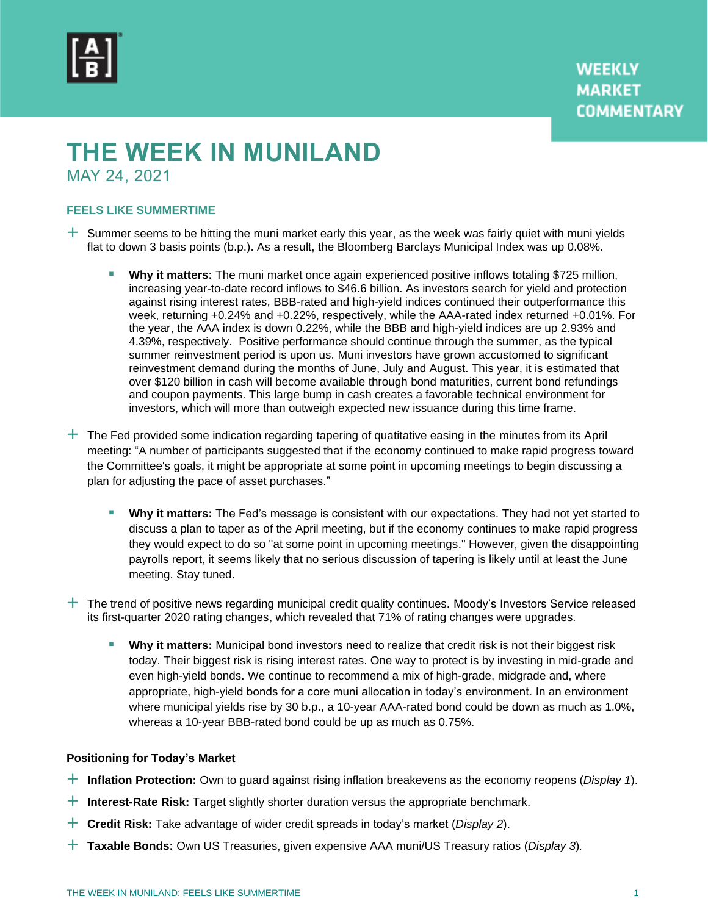

# **THE WEEK IN MUNILAND**

MAY 24, 2021

## **FEELS LIKE SUMMERTIME**

- $+$  Summer seems to be hitting the muni market early this year, as the week was fairly quiet with muni yields flat to down 3 basis points (b.p.). As a result, the Bloomberg Barclays Municipal Index was up 0.08%.
	- **Why it matters:** The muni market once again experienced positive inflows totaling \$725 million, increasing year-to-date record inflows to \$46.6 billion. As investors search for yield and protection against rising interest rates, BBB-rated and high-yield indices continued their outperformance this week, returning +0.24% and +0.22%, respectively, while the AAA-rated index returned +0.01%. For the year, the AAA index is down 0.22%, while the BBB and high-yield indices are up 2.93% and 4.39%, respectively. Positive performance should continue through the summer, as the typical summer reinvestment period is upon us. Muni investors have grown accustomed to significant reinvestment demand during the months of June, July and August. This year, it is estimated that over \$120 billion in cash will become available through bond maturities, current bond refundings and coupon payments. This large bump in cash creates a favorable technical environment for investors, which will more than outweigh expected new issuance during this time frame.
- $+$  The Fed provided some indication regarding tapering of quatitative easing in the minutes from its April meeting: "A number of participants suggested that if the economy continued to make rapid progress toward the Committee's goals, it might be appropriate at some point in upcoming meetings to begin discussing a plan for adjusting the pace of asset purchases."
	- Why it matters: The Fed's message is consistent with our expectations. They had not yet started to discuss a plan to taper as of the April meeting, but if the economy continues to make rapid progress they would expect to do so "at some point in upcoming meetings." However, given the disappointing payrolls report, it seems likely that no serious discussion of tapering is likely until at least the June meeting. Stay tuned.
- $+$  The trend of positive news regarding municipal credit quality continues. Moody's Investors Service released its first-quarter 2020 rating changes, which revealed that 71% of rating changes were upgrades.
	- **■** Why it matters: Municipal bond investors need to realize that credit risk is not their biggest risk today. Their biggest risk is rising interest rates. One way to protect is by investing in mid-grade and even high-yield bonds. We continue to recommend a mix of high-grade, midgrade and, where appropriate, high-yield bonds for a core muni allocation in today's environment. In an environment where municipal yields rise by 30 b.p., a 10-year AAA-rated bond could be down as much as 1.0%, whereas a 10-year BBB-rated bond could be up as much as 0.75%.

## **Positioning for Today's Market**

- **Inflation Protection:** Own to guard against rising inflation breakevens as the economy reopens (*Display 1*).
- **Interest-Rate Risk:** Target slightly shorter duration versus the appropriate benchmark.
- **Credit Risk:** Take advantage of wider credit spreads in today's market (*Display 2*).
- **Taxable Bonds:** Own US Treasuries, given expensive AAA muni/US Treasury ratios (*Display 3*)*.*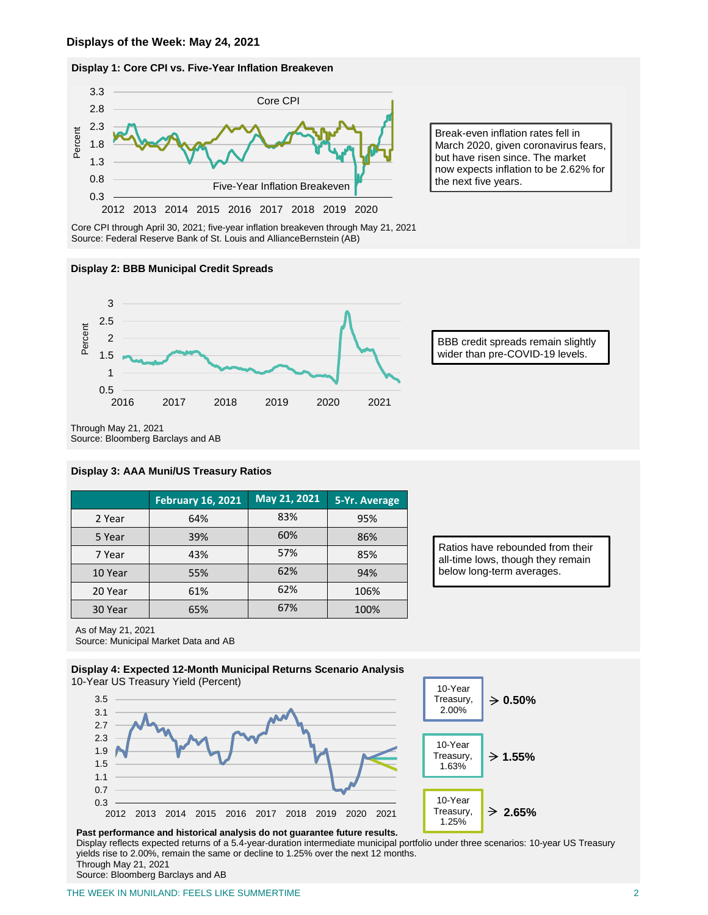#### **Display 1: Core CPI vs. Five-Year Inflation Breakeven**



Core CPI through April 30, 2021; five-year inflation breakeven through May 21, 2021 Source: Federal Reserve Bank of St. Louis and AllianceBernstein (AB)

#### **Display 2: BBB Municipal Credit Spreads**



BBB credit spreads remain slightly wider than pre-COVID-19 levels.

Break-even inflation rates fell in March 2020, given coronavirus fears, but have risen since. The market now expects inflation to be 2.62% for

the next five years.

Through May 21, 2021

### **Display 3: AAA Muni/US Treasury Ratios**

|         | <b>February 16, 2021</b> | May 21, 2021 | 5-Yr. Average |
|---------|--------------------------|--------------|---------------|
| 2 Year  | 64%                      | 83%          | 95%           |
| 5 Year  | 39%                      | 60%          | 86%           |
| 7 Year  | 43%                      | 57%          | 85%           |
| 10 Year | 55%                      | 62%          | 94%           |
| 20 Year | 61%                      | 62%          | 106%          |
| 30 Year | 65%                      | 67%          | 100%          |

Ratios have rebounded from their all-time lows, though they remain below long-term averages.

As of May 21, 2021

Source: Municipal Market Data and AB





1.25%

**Past performance and historical analysis do not guarantee future results.** Display reflects expected returns of a 5.4-year-duration intermediate municipal portfolio under three scenarios: 10-year US Treasury yields rise to 2.00%, remain the same or decline to 1.25% over the next 12 months.

Through May 21, 2021

Source: Bloomberg Barclays and AB